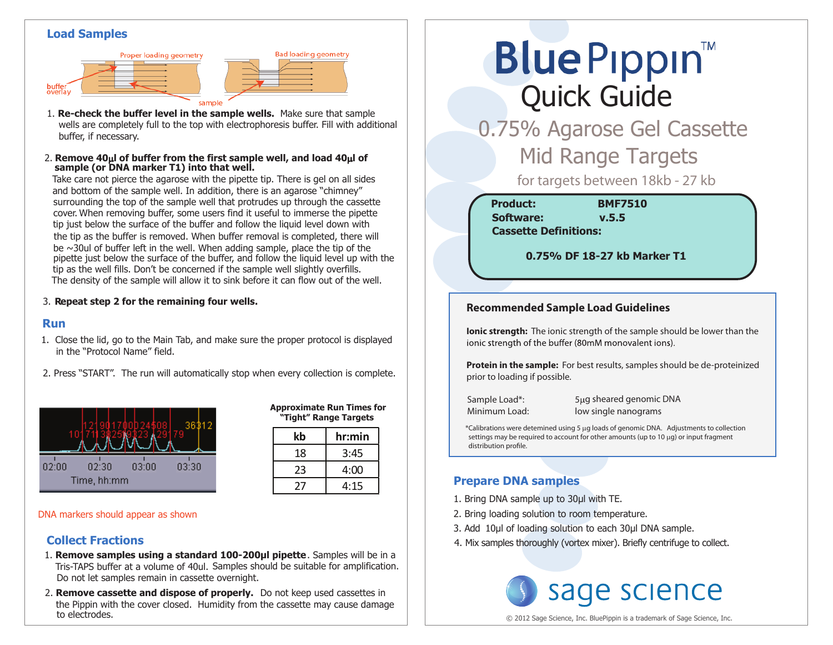#### **Load Samples**





**sample (or DNA marker T1) into that well.** 2. Remove  $40\mu$  of buffer from the first sample well, and load  $40\mu$  of

Take care not pierce the agarose with the pipette tip. There is gel on all sides and bottom of the sample well. In addition, there is an agarose "chimney" surrounding the top of the sample well that protrudes up through the cassette cover. When removing buffer, some users find it useful to immerse the pipette tip just below the surface of the buffer and follow the liquid level down with the tip as the buffer is removed. When buffer removal is completed, there will be  $\sim$ 30ul of buffer left in the well. When adding sample, place the tip of the pipette just below the surface of the buffer, and follow the liquid level up with the tip as the well fills. Don't be concerned if the sample well slightly overfills. The density of the sample will allow it to sink before it can flow out of the well.

#### 3. **Repeat step 2 for the remaining four wells.**

#### **Run**

- 1. Close the lid, go to the Main Tab, and make sure the proper protocol is displayed in the "Protocol Name" field.
- 2. Press "START". The run will automatically stop when every collection is complete.



| <b>Approximate Run Times for</b><br>"Tight" Range Targets |  |        |  |
|-----------------------------------------------------------|--|--------|--|
|                                                           |  | hr:min |  |

**Bad loading geometry** 

| kb | hr:min |
|----|--------|
| 18 | 3:45   |
| 23 | 4:00   |
| 77 | 4:15   |

DNA markers should appear as shown

## **Collect Fractions**

- Tris-TAPS buffer at a volume of 40ul. Samples should be suitable for amplification. 1. **Remove samples using a standard 100-200µl pipette**. Samples will be in a Do not let samples remain in cassette overnight.
- 2. **Remove cassette and dispose of properly.** Do not keep used cassettes in the Pippin with the cover closed. Humidity from the cassette may cause damage to electrodes.

# **Blue Pippin** Quick Guide

 0.75% Agarose Gel Cassette **Mid Range Targets** 

for targets between 18kb - 27 kb

**Product: BMF7510 Cassette Definitions: Software: v.5.5**

 **0.75% DF 18-27 kb Marker T1**

#### **Recommended Sample Load Guidelines**

**Ionic strength:** The ionic strength of the sample should be lower than the ionic strength of the buffer (80mM monovalent ions).

**Protein in the sample:** For best results, samples should be de-proteinized prior to loading if possible.

Sample Load\*: 5µg sheared genomic DNA Minimum Load: low single nanograms

\*Calibrations were detemined using 5 µg loads of genomic DNA. Adjustments to collection settings may be required to account for other amounts (up to 10 µg) or input fragment distribution profile.

## **Prepare DNA samples**

- 1. Bring DNA sample up to 30μl with TE.
- 2. Bring loading solution to room temperature.
- 3. Add 10μl of loading solution to each 30μl DNA sample.
- 4. Mix samples thoroughly (vortex mixer). Briefly centrifuge to collect.